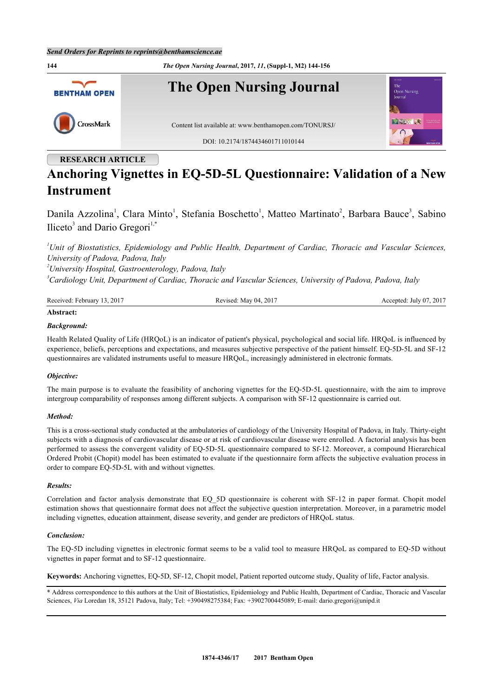

## **RESEARCH ARTICLE**

# **Anchoring Vignettes in EQ-5D-5L Questionnaire: Validation of a New Instrument**

Danila Azzolina<sup>[1](#page-0-0)</sup>, Clara Minto<sup>1</sup>, Stefania Boschetto<sup>1</sup>, Matteo Martinato<sup>[2](#page-0-1)</sup>, Barbara Bauce<sup>[3](#page-0-2)</sup>, Sabino Iliceto<sup>[3](#page-0-2)</sup> and Dario Gregori<sup>[1,](#page-0-0)[\\*](#page-0-3)</sup>

<span id="page-0-0"></span>*<sup>1</sup>Unit of Biostatistics, Epidemiology and Public Health, Department of Cardiac, Thoracic and Vascular Sciences, University of Padova, Padova, Italy*

<span id="page-0-1"></span>*<sup>2</sup>University Hospital, Gastroenterology, Padova, Italy*

<span id="page-0-2"></span>*<sup>3</sup>Cardiology Unit, Department of Cardiac, Thoracic and Vascular Sciences, University of Padova, Padova, Italy*

| Received: February 13, 2017 | Revised: May 04, 2017 | Accepted: July 07, 2017 |
|-----------------------------|-----------------------|-------------------------|
|                             |                       |                         |

## **Abstract:**

#### *Background:*

Health Related Quality of Life (HRQoL) is an indicator of patient's physical, psychological and social life. HRQoL is influenced by experience, beliefs, perceptions and expectations, and measures subjective perspective of the patient himself. EQ-5D-5L and SF-12 questionnaires are validated instruments useful to measure HRQoL, increasingly administered in electronic formats.

#### *Objective:*

The main purpose is to evaluate the feasibility of anchoring vignettes for the EQ-5D-5L questionnaire, with the aim to improve intergroup comparability of responses among different subjects. A comparison with SF-12 questionnaire is carried out.

#### *Method:*

This is a cross-sectional study conducted at the ambulatories of cardiology of the University Hospital of Padova, in Italy. Thirty-eight subjects with a diagnosis of cardiovascular disease or at risk of cardiovascular disease were enrolled. A factorial analysis has been performed to assess the convergent validity of EQ-5D-5L questionnaire compared to Sf-12. Moreover, a compound Hierarchical Ordered Probit (Chopit) model has been estimated to evaluate if the questionnaire form affects the subjective evaluation process in order to compare EQ-5D-5L with and without vignettes.

#### *Results:*

Correlation and factor analysis demonstrate that EQ\_5D questionnaire is coherent with SF-12 in paper format. Chopit model estimation shows that questionnaire format does not affect the subjective question interpretation. Moreover, in a parametric model including vignettes, education attainment, disease severity, and gender are predictors of HRQoL status.

#### *Conclusion:*

The EQ-5D including vignettes in electronic format seems to be a valid tool to measure HRQoL as compared to EQ-5D without vignettes in paper format and to SF-12 questionnaire.

**Keywords:** Anchoring vignettes, EQ-5D, SF-12, Chopit model, Patient reported outcome study, Quality of life, Factor analysis.

<span id="page-0-3"></span>\* Address correspondence to this authors at the Unit of Biostatistics, Epidemiology and Public Health, Department of Cardiac, Thoracic and Vascular Sciences, *Via* Loredan 18, 35121 Padova, Italy; Tel: +390498275384; Fax: +3902700445089; E-mail: [dario.gregori@unipd.it](mailto:dario.gregori@unipd.it)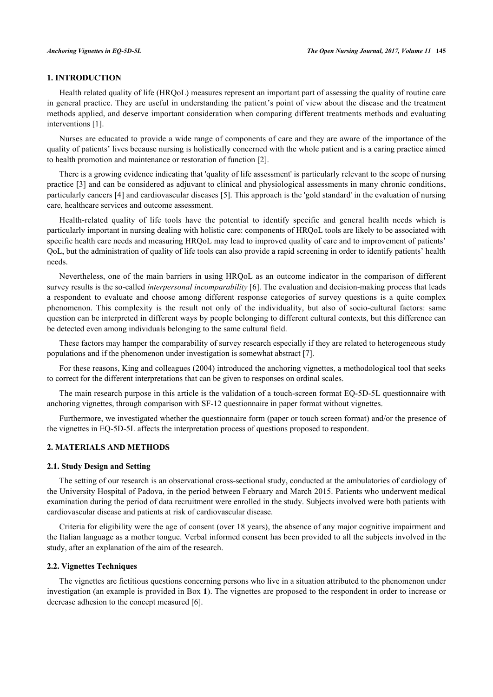## **1. INTRODUCTION**

Health related quality of life (HRQoL) measures represent an important part of assessing the quality of routine care in general practice. They are useful in understanding the patient's point of view about the disease and the treatment methods applied, and deserve important consideration when comparing different treatments methods and evaluating interventions [[1\]](#page-10-0).

Nurses are educated to provide a wide range of components of care and they are aware of the importance of the quality of patients' lives because nursing is holistically concerned with the whole patient and is a caring practice aimed to health promotion and maintenance or restoration of function [\[2](#page-10-1)].

There is a growing evidence indicating that 'quality of life assessment' is particularly relevant to the scope of nursing practice [\[3\]](#page-10-2) and can be considered as adjuvant to clinical and physiological assessments in many chronic conditions, particularly cancers [[4\]](#page-11-0) and cardiovascular diseases [[5\]](#page-11-1). This approach is the 'gold standard' in the evaluation of nursing care, healthcare services and outcome assessment.

Health-related quality of life tools have the potential to identify specific and general health needs which is particularly important in nursing dealing with holistic care: components of HRQoL tools are likely to be associated with specific health care needs and measuring HRQoL may lead to improved quality of care and to improvement of patients' QoL, but the administration of quality of life tools can also provide a rapid screening in order to identify patients' health needs.

Nevertheless, one of the main barriers in using HRQoL as an outcome indicator in the comparison of different survey results is the so-called *interpersonal incomparability* [[6\]](#page-11-2). The evaluation and decision-making process that leads a respondent to evaluate and choose among different response categories of survey questions is a quite complex phenomenon. This complexity is the result not only of the individuality, but also of socio-cultural factors: same question can be interpreted in different ways by people belonging to different cultural contexts, but this difference can be detected even among individuals belonging to the same cultural field.

These factors may hamper the comparability of survey research especially if they are related to heterogeneous study populations and if the phenomenon under investigation is somewhat abstract [[7\]](#page-11-3).

For these reasons, King and colleagues (2004) introduced the anchoring vignettes, a methodological tool that seeks to correct for the different interpretations that can be given to responses on ordinal scales.

The main research purpose in this article is the validation of a touch-screen format EQ-5D-5L questionnaire with anchoring vignettes, through comparison with SF-12 questionnaire in paper format without vignettes.

Furthermore, we investigated whether the questionnaire form (paper or touch screen format) and/or the presence of the vignettes in EQ-5D-5L affects the interpretation process of questions proposed to respondent.

## **2. MATERIALS AND METHODS**

## **2.1. Study Design and Setting**

The setting of our research is an observational cross-sectional study, conducted at the ambulatories of cardiology of the University Hospital of Padova, in the period between February and March 2015. Patients who underwent medical examination during the period of data recruitment were enrolled in the study. Subjects involved were both patients with cardiovascular disease and patients at risk of cardiovascular disease.

Criteria for eligibility were the age of consent (over 18 years), the absence of any major cognitive impairment and the Italian language as a mother tongue. Verbal informed consent has been provided to all the subjects involved in the study, after an explanation of the aim of the research.

#### **2.2. Vignettes Techniques**

The vignettes are fictitious questions concerning persons who live in a situation attributed to the phenomenon under investigation (an example is provided in Box **[1](#page-2-0)**). The vignettes are proposed to the respondent in order to increase or decrease adhesion to the concept measured [\[6](#page-11-2)].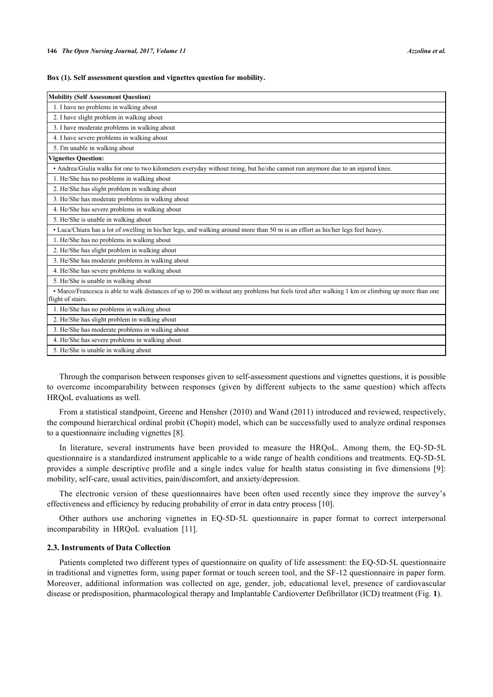<span id="page-2-0"></span>

|  |  | Box (1). Self assessment question and vignettes question for mobility. |  |  |
|--|--|------------------------------------------------------------------------|--|--|
|  |  |                                                                        |  |  |

| <b>Mobility (Self Assessment Question)</b>                                                                                                                           |
|----------------------------------------------------------------------------------------------------------------------------------------------------------------------|
| 1. I have no problems in walking about                                                                                                                               |
| 2. I have slight problem in walking about                                                                                                                            |
| 3. I have moderate problems in walking about                                                                                                                         |
| 4. I have severe problems in walking about                                                                                                                           |
| 5. I'm unable in walking about                                                                                                                                       |
| Vignettes Question:                                                                                                                                                  |
| · Andrea/Giulia walks for one to two kilometers everyday without tiring, but he/she cannot run anymore due to an injured knee.                                       |
| 1. He/She has no problems in walking about                                                                                                                           |
| 2. He/She has slight problem in walking about                                                                                                                        |
| 3. He/She has moderate problems in walking about                                                                                                                     |
| 4. He/She has severe problems in walking about                                                                                                                       |
| 5. He/She is unable in walking about                                                                                                                                 |
| • Luca/Chiara has a lot of swelling in his/her legs, and walking around more than 50 m is an effort as his/her legs feel heavy.                                      |
| 1. He/She has no problems in walking about                                                                                                                           |
| 2. He/She has slight problem in walking about                                                                                                                        |
| 3. He/She has moderate problems in walking about                                                                                                                     |
| 4. He/She has severe problems in walking about                                                                                                                       |
| 5. He/She is unable in walking about                                                                                                                                 |
| • Marco/Francesca is able to walk distances of up to 200 m without any problems but feels tired after walking 1 km or climbing up more than one<br>flight of stairs. |
| 1. He/She has no problems in walking about                                                                                                                           |
| 2. He/She has slight problem in walking about                                                                                                                        |
| 3. He/She has moderate problems in walking about                                                                                                                     |
| 4. He/She has severe problems in walking about                                                                                                                       |
| 5. He/She is unable in walking about                                                                                                                                 |

Through the comparison between responses given to self-assessment questions and vignettes questions, it is possible to overcome incomparability between responses (given by different subjects to the same question) which affects HRQoL evaluations as well.

From a statistical standpoint, Greene and Hensher (2010) and Wand (2011) introduced and reviewed, respectively, the compound hierarchical ordinal probit (Chopit) model, which can be successfully used to analyze ordinal responses to a questionnaire including vignettes [[8\]](#page-11-4).

In literature, several instruments have been provided to measure the HRQoL. Among them, the EQ-5D-5L questionnaire is a standardized instrument applicable to a wide range of health conditions and treatments. EQ-5D-5L provides a simple descriptive profile and a single index value for health status consisting in five dimensions [\[9](#page-11-5)]: mobility, self-care, usual activities, pain/discomfort, and anxiety/depression.

The electronic version of these questionnaires have been often used recently since they improve the survey's effectiveness and efficiency by reducing probability of error in data entry process [\[10](#page-11-6)].

Other authors use anchoring vignettes in EQ-5D-5L questionnaire in paper format to correct interpersonal incomparability in HRQoL evaluation [\[11](#page-11-7)].

#### **2.3. Instruments of Data Collection**

<span id="page-2-1"></span>Patients completed two different types of questionnaire on quality of life assessment: the EQ-5D-5L questionnaire in traditional and vignettes form, using paper format or touch screen tool, and the SF-12 questionnaire in paper form. Moreover, additional information was collected on age, gender, job, educational level, presence of cardiovascular disease or predisposition, pharmacological therapy and Implantable Cardioverter Defibrillator (ICD) treatment (Fig. **[1](#page-2-1)**).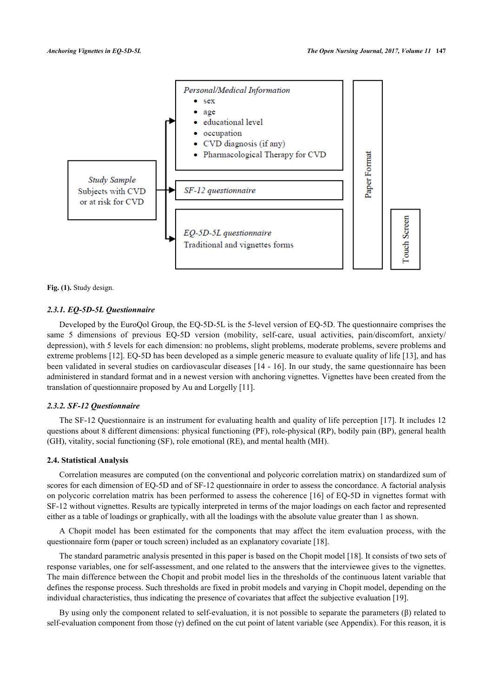

**Fig. (1).** Study design.

## *2.3.1. EQ-5D-5L Questionnaire*

Developed by the EuroQol Group, the EQ-5D-5L is the 5-level version of EQ-5D. The questionnaire comprises the same 5 dimensions of previous EQ-5D version (mobility, self-care, usual activities, pain/discomfort, anxiety/ depression), with 5 levels for each dimension: no problems, slight problems, moderate problems, severe problems and extreme problems [[12](#page-11-8)]. EQ-5D has been developed as a simple generic measure to evaluate quality of life [[13\]](#page-11-9), and has been validated in several studies on cardiovascular diseases [[14](#page-11-10) - [16\]](#page-11-11). In our study, the same questionnaire has been administered in standard format and in a newest version with anchoring vignettes. Vignettes have been created from the translation of questionnaire proposed by Au and Lorgelly [\[11](#page-11-7)].

#### *2.3.2. SF-12 Questionnaire*

The SF-12 Questionnaire is an instrument for evaluating health and quality of life perception [[17](#page-11-12)]. It includes 12 questions about 8 different dimensions: physical functioning (PF), role-physical (RP), bodily pain (BP), general health (GH), vitality, social functioning (SF), role emotional (RE), and mental health (MH).

#### **2.4. Statistical Analysis**

Correlation measures are computed (on the conventional and polycoric correlation matrix) on standardized sum of scores for each dimension of EQ-5D and of SF-12 questionnaire in order to assess the concordance. A factorial analysis on polycoric correlation matrix has been performed to assess the coherence [[16\]](#page-11-11) of EQ-5D in vignettes format with SF-12 without vignettes. Results are typically interpreted in terms of the major loadings on each factor and represented either as a table of loadings or graphically, with all the loadings with the absolute value greater than 1 as shown.

A Chopit model has been estimated for the components that may affect the item evaluation process, with the questionnaire form (paper or touch screen) included as an explanatory covariate [[18\]](#page-11-13).

The standard parametric analysis presented in this paper is based on the Chopit model [[18\]](#page-11-13). It consists of two sets of response variables, one for self-assessment, and one related to the answers that the interviewee gives to the vignettes. The main difference between the Chopit and probit model lies in the thresholds of the continuous latent variable that defines the response process. Such thresholds are fixed in probit models and varying in Chopit model, depending on the individual characteristics, thus indicating the presence of covariates that affect the subjective evaluation [[19\]](#page-11-14).

By using only the component related to self-evaluation, it is not possible to separate the parameters (β) related to self-evaluation component from those  $(\gamma)$  defined on the cut point of latent variable (see Appendix). For this reason, it is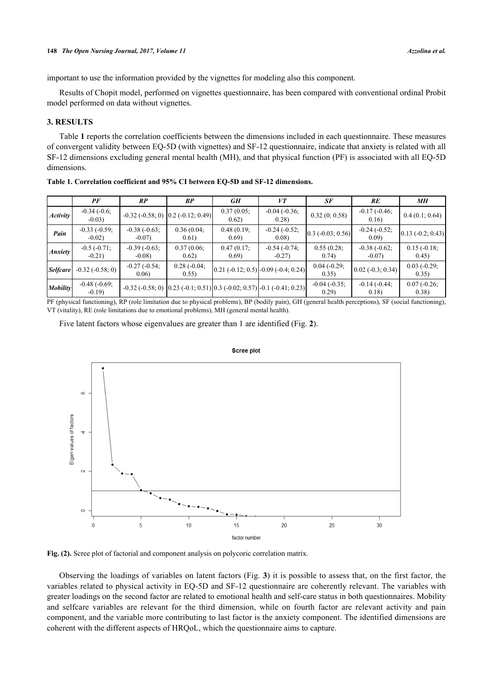important to use the information provided by the vignettes for modeling also this component.

Results of Chopit model, performed on vignettes questionnaire, has been compared with conventional ordinal Probit model performed on data without vignettes.

## **3. RESULTS**

Table **[1](#page-4-0)** reports the correlation coefficients between the dimensions included in each questionnaire. These measures of convergent validity between EQ-5D (with vignettes) and SF-12 questionnaire, indicate that anxiety is related with all SF-12 dimensions excluding general mental health (MH), and that physical function (PF) is associated with all EQ-5D dimensions.

|                 | PF                          | RP                          | BP                                             | GH                      | VT                                                                                                       | SF                        | RE                          | MН                       |
|-----------------|-----------------------------|-----------------------------|------------------------------------------------|-------------------------|----------------------------------------------------------------------------------------------------------|---------------------------|-----------------------------|--------------------------|
| Activity        | $-0.34(-0.6)$<br>$-0.03$ )  |                             | $-0.32$ ( $-0.58$ ; 0) $0.2$ ( $-0.12$ ; 0.49) | 0.37(0.05)<br>0.62)     | $-0.04 (-0.36)$<br>0.28)                                                                                 | 0.32(0; 0.58)             | $-0.17(-0.46)$<br>0.16)     | 0.4(0.1; 0.64)           |
| Pain            | $-0.33(-0.59)$ ;<br>$-0.02$ | $-0.38(-0.63)$ ;<br>$-0.07$ | 0.36(0.04)<br>0.61)                            | $0.48(0.19)$ ;<br>0.69  | $-0.24(-0.52)$ ;<br>0.08)                                                                                | $[0.3 (-0.03; 0.56)]$     | $-0.24(-0.52)$ ;<br>0.09    | $0.13 (-0.2; 0.43)$      |
| <b>Anxiety</b>  | $-0.5(-0.71)$ ;<br>$-0.21$  | $-0.39(-0.63)$ ;<br>$-0.08$ | 0.37(0.06)<br>0.62)                            | $0.47(0.17)$ ;<br>0.69) | $-0.54(-0.74)$<br>$-0.27$                                                                                | 0.55(0.28)<br>0.74)       | $-0.38(-0.62)$ ;<br>$-0.07$ | $0.15(-0.18)$<br>0.45)   |
| <b>Selfcare</b> | $-0.32(-0.58; 0)$           | $-0.27(-0.54)$<br>0.06      | $0.28(-0.04)$<br>0.55)                         |                         | $[0.21 (-0.12; 0.5)] - 0.09 (-0.4; 0.24)]$                                                               | $0.04 (-0.29)$ ;<br>0.35) | $0.02 (-0.3; 0.34)$         | $0.03(-0.29)$ ;<br>0.35) |
| <b>Mobility</b> | $-0.48(-0.69)$ ;<br>$-0.19$ |                             |                                                |                         | $-0.32$ (-0.58; 0) $\left[0.23$ (-0.1; 0.51) $\left[0.3$ (-0.02; 0.57) $\left[-0.1\right], 0.41$ ; 0.23) | $-0.04(-0.35)$ ;<br>0.29) | $-0.14(-0.44)$<br>0.18)     | $0.07(-0.26)$<br>(0.38)  |

<span id="page-4-0"></span>**Table 1. Correlation coefficient and 95% CI between EQ-5D and SF-12 dimensions.**

<span id="page-4-1"></span>PF (physical functioning), RP (role limitation due to physical problems), BP (bodily pain), GH (general health perceptions), SF (social functioning), VT (vitality), RE (role limitations due to emotional problems), MH (general mental health).

Five latent factors whose eigenvalues are greater than 1 are identified (Fig. **[2](#page-4-1)**).



**Scree plot** 

**Fig. (2).** Scree plot of factorial and component analysis on polycoric correlation matrix.

<span id="page-4-2"></span>Observing the loadings of variables on latent factors (Fig. **[3](#page-4-2)**) it is possible to assess that, on the first factor, the variables related to physical activity in EQ-5D and SF-12 questionnaire are coherently relevant. The variables with greater loadings on the second factor are related to emotional health and self-care status in both questionnaires. Mobility and selfcare variables are relevant for the third dimension, while on fourth factor are relevant activity and pain component, and the variable more contributing to last factor is the anxiety component. The identified dimensions are coherent with the different aspects of HRQoL, which the questionnaire aims to capture.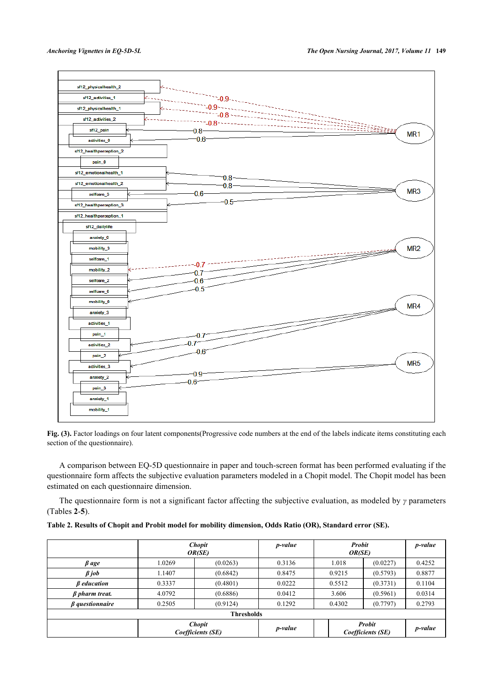

Fig. (3). Factor loadings on four latent components(Progressive code numbers at the end of the labels indicate items constituting each section of the questionnaire).

A comparison between EQ-5D questionnaire in paper and touch-screen format has been performed evaluating if the questionnaire form affects the subjective evaluation parameters modeled in a Chopit model. The Chopit model has been estimated on each questionnaire dimension.

The questionnaire form is not a significant factor affecting the subjective evaluation, as modeled by *γ* parameters (Tables **[2](#page-5-0)**-**[5](#page-7-0)**).

<span id="page-5-0"></span>

| Table 2. Results of Chopit and Probit model for mobility dimension, Odds Ratio (OR), Standard error (SE). |  |  |  |
|-----------------------------------------------------------------------------------------------------------|--|--|--|
|                                                                                                           |  |  |  |

|                           |        | <b>Chopit</b><br>OR(SE)            |         |        | Probit<br>OR(SE)            |         |
|---------------------------|--------|------------------------------------|---------|--------|-----------------------------|---------|
| $\beta$ age               | 1.0269 | (0.0263)                           | 0.3136  | 1.018  | (0.0227)                    | 0.4252  |
| $\beta$ job               | 1.1407 | (0.6842)                           | 0.8475  | 0.9215 | (0.5793)                    | 0.8877  |
| <b><i>B</i></b> education | 0.3337 | (0.4801)                           | 0.0222  | 0.5512 | (0.3731)                    | 0.1104  |
| $\beta$ pharm treat.      | 4.0792 | (0.6886)                           | 0.0412  | 3.606  | (0.5961)                    | 0.0314  |
| $\beta$ questionnaire     | 0.2505 | (0.9124)                           | 0.1292  | 0.4302 | (0.7797)                    | 0.2793  |
| <b>Thresholds</b>         |        |                                    |         |        |                             |         |
|                           |        | <b>Chopit</b><br>Coefficients (SE) | p-value |        | Probit<br>Coefficients (SE) | p-value |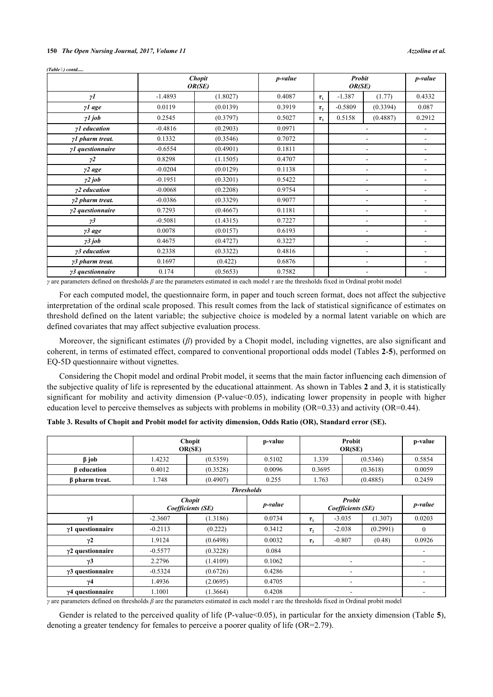#### **150** *The Open Nursing Journal, 2017, Volume 11 Azzolina et al.*

*(Table ) contd.....*

|                         | <b>Chopit</b><br>OR(SE) |          | p-value |            | <b>Probit</b><br>OR(SE) |                          | p-value |
|-------------------------|-------------------------|----------|---------|------------|-------------------------|--------------------------|---------|
| $\gamma I$              | $-1.4893$               | (1.8027) | 0.4087  | $\tau_{1}$ | $-1.387$                | (1.77)                   | 0.4332  |
| $\gamma$ l age          | 0.0119                  | (0.0139) | 0.3919  | $\tau_{2}$ | $-0.5809$               | (0.3394)                 | 0.087   |
| $\gamma$ <i>l</i> job   | 0.2545                  | (0.3797) | 0.5027  | $\tau_{3}$ | 0.5158                  | (0.4887)                 | 0.2912  |
| γ <i>l</i> education    | $-0.4816$               | (0.2903) | 0.0971  |            |                         | $\overline{\phantom{a}}$ |         |
| yl pharm treat.         | 0.1332                  | (0.3546) | 0.7072  |            |                         |                          |         |
| γ1 questionnaire        | $-0.6554$               | (0.4901) | 0.1811  |            |                         |                          |         |
| $\gamma$ 2              | 0.8298                  | (1.1505) | 0.4707  |            |                         |                          |         |
| $\gamma$ 2 age          | $-0.0204$               | (0.0129) | 0.1138  |            |                         |                          |         |
| $\gamma$ 2 job          | $-0.1951$               | (0.3201) | 0.5422  |            |                         | ۰                        |         |
| γ2 education            | $-0.0068$               | (0.2208) | 0.9754  |            |                         | $\overline{\phantom{a}}$ | ۰       |
| $\gamma$ 2 pharm treat. | $-0.0386$               | (0.3329) | 0.9077  |            |                         | $\overline{\phantom{a}}$ | ۰       |
| y2 questionnaire        | 0.7293                  | (0.4667) | 0.1181  |            |                         | $\overline{\phantom{a}}$ | ۰       |
| $\gamma$ 3              | $-0.5081$               | (1.4315) | 0.7227  |            |                         | ۰                        | ۰       |
| $\gamma$ 3 age          | 0.0078                  | (0.0157) | 0.6193  |            |                         | -                        | -       |
| $\gamma$ 3 job          | 0.4675                  | (0.4727) | 0.3227  |            |                         | ۰                        |         |
| γ3 education            | 0.2338                  | (0.3322) | 0.4816  |            |                         | $\overline{\phantom{0}}$ |         |
| γ3 pharm treat.         | 0.1697                  | (0.422)  | 0.6876  |            |                         |                          |         |
| γ3 questionnaire        | 0.174                   | (0.5653) | 0.7582  |            |                         | -                        | ۰       |

*γ* are parameters defined on thresholds *β* are the parameters estimated in each model *τ* are the thresholds fixed in Ordinal probit model

For each computed model, the questionnaire form, in paper and touch screen format, does not affect the subjective interpretation of the ordinal scale proposed. This result comes from the lack of statistical significance of estimates on threshold defined on the latent variable; the subjective choice is modeled by a normal latent variable on which are defined covariates that may affect subjective evaluation process.

Moreover, the significant estimates (*β*) provided by a Chopit model, including vignettes, are also significant and coherent, in terms of estimated effect, compared to conventional proportional odds model (Tables **[2](#page-5-0)**-**[5](#page-7-0)**), performed on EQ-5D questionnaire without vignettes.

Considering the Chopit model and ordinal Probit model, it seems that the main factor influencing each dimension of the subjective quality of life is represented by the educational attainment. As shown in Tables **[2](#page-5-0)** and **[3](#page-6-0)**, it is statistically significant for mobility and activity dimension (P-value < 0.05), indicating lower propensity in people with higher education level to perceive themselves as subjects with problems in mobility (OR=0.33) and activity (OR=0.44).

|                          | Chopit<br>OR(SE)                   |          | p-value |                          | Probit<br>OR(SE)                   |          | p-value         |
|--------------------------|------------------------------------|----------|---------|--------------------------|------------------------------------|----------|-----------------|
| $\beta$ job              | 1.4232                             | (0.5359) | 0.5102  | 1.339                    |                                    | (0.5346) | 0.5854          |
| $\beta$ education        | 0.4012                             | (0.3528) | 0.0096  | 0.3695                   |                                    | (0.3618) | 0.0059          |
| $\beta$ pharm treat.     | 1.748                              | (0.4907) | 0.255   | 1.763                    |                                    | (0.4885) | 0.2459          |
|                          | <b>Thresholds</b>                  |          |         |                          |                                    |          |                 |
|                          | <b>Chopit</b><br>Coefficients (SE) |          | p-value |                          | <b>Probit</b><br>Coefficients (SE) |          | <i>p</i> -value |
| $\gamma$ 1               | $-2.3607$                          | (1.3186) | 0.0734  | $\tau_{1}$               | $-3.035$                           | (1.307)  | 0.0203          |
| $\gamma$ 1 questionnaire | $-0.2113$                          | (0.222)  | 0.3412  | $\tau_{2}$               | $-2.038$                           | (0.2991) | $\mathbf{0}$    |
| $\gamma$ 2               | 1.9124                             | (0.6498) | 0.0032  | $\tau_{3}$               | $-0.807$                           | (0.48)   | 0.0926          |
| $\gamma$ 2 questionnaire | $-0.5577$                          | (0.3228) | 0.084   |                          |                                    |          |                 |
| $\gamma$ 3               | 2.2796                             | (1.4109) | 0.1062  | $\overline{\phantom{a}}$ |                                    |          |                 |
| $\gamma$ 3 questionnaire | $-0.5324$                          | (0.6726) | 0.4286  |                          |                                    |          |                 |
| γ4                       | 1.4936                             | (2.0695) | 0.4705  | $\overline{\phantom{a}}$ |                                    |          |                 |
| γ4 questionnaire         | 1.1001                             | (1.3664) | 0.4208  |                          |                                    |          |                 |

<span id="page-6-0"></span>

| Table 3. Results of Chopit and Probit model for activity dimension, Odds Ratio (OR), Standard error (SE). |  |  |
|-----------------------------------------------------------------------------------------------------------|--|--|
|                                                                                                           |  |  |

*γ* are parameters defined on thresholds *β* are the parameters estimated in each model *τ* are the thresholds fixed in Ordinal probit model

Gender is related to the perceived quality of life (P-value<0.0[5](#page-7-0)), in particular for the anxiety dimension (Table 5), denoting a greater tendency for females to perceive a poorer quality of life (OR=2.79).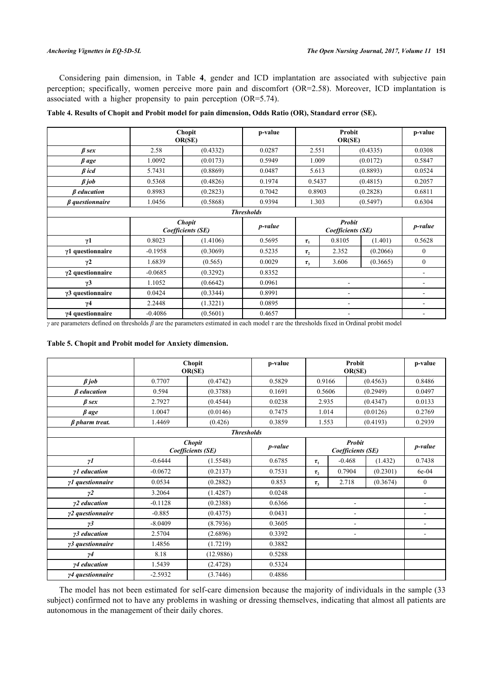Considering pain dimension, in Table**4**, gender and ICD implantation are associated with subjective pain perception; specifically, women perceive more pain and discomfort (OR=2.58). Moreover, ICD implantation is associated with a higher propensity to pain perception (OR=5.74).

|                          |           | <b>Chopit</b><br>OR(SE)            | p-value           |            | Probit<br>OR(SE)                   |          | p-value  |
|--------------------------|-----------|------------------------------------|-------------------|------------|------------------------------------|----------|----------|
| $\beta$ sex              | 2.58      | (0.4332)                           | 0.0287            | 2.551      |                                    | (0.4335) | 0.0308   |
| $\beta$ age              | 1.0092    | (0.0173)                           | 0.5949            | 1.009      |                                    | (0.0172) | 0.5847   |
| $\beta$ icd              | 5.7431    | (0.8869)                           | 0.0487            | 5.613      |                                    | (0.8893) | 0.0524   |
| $\beta$ job              | 0.5368    | (0.4826)                           | 0.1974            | 0.5437     |                                    | (0.4815) | 0.2057   |
| $\beta$ education        | 0.8983    | (0.2823)                           | 0.7042            | 0.8903     |                                    | (0.2828) | 0.6811   |
| $\beta$ questionnaire    | 1.0456    | (0.5868)                           | 0.9394            | 1.303      |                                    | (0.5497) | 0.6304   |
|                          |           |                                    | <b>Thresholds</b> |            |                                    |          |          |
|                          |           | <b>Chopit</b><br>Coefficients (SE) | p-value           |            | <b>Probit</b><br>Coefficients (SE) |          | p-value  |
| $\gamma$ 1               | 0.8023    | (1.4106)                           | 0.5695            | $\tau_{1}$ | 0.8105                             | (1.401)  | 0.5628   |
| $\gamma$ 1 questionnaire | $-0.1958$ | (0.3069)                           | 0.5235            | $\tau_{2}$ | 2.352                              | (0.2066) | $\theta$ |
| $\gamma$ 2               | 1.6839    | (0.565)                            | 0.0029            | $\tau_{3}$ | 3.606                              | (0.3665) | $\theta$ |
| $\gamma$ 2 questionnaire | $-0.0685$ | (0.3292)                           | 0.8352            |            |                                    |          |          |
| $\gamma$ 3               | 1.1052    | (0.6642)                           | 0.0961            |            |                                    |          |          |
| γ3 questionnaire         | 0.0424    | (0.3344)                           | 0.8991            |            |                                    |          |          |
| $\gamma$ 4               | 2.2448    | (1.3221)                           | 0.0895            |            |                                    |          |          |
| γ4 questionnaire         | $-0.4086$ | (0.5601)                           | 0.4657            |            |                                    |          |          |

## <span id="page-7-1"></span>**Table 4. Results of Chopit and Probit model for pain dimension, Odds Ratio (OR), Standard error (SE).**

*γ* are parameters defined on thresholds *β* are the parameters estimated in each model *τ* are the thresholds fixed in Ordinal probit model

#### <span id="page-7-0"></span>**Table 5. Chopit and Probit model for Anxiety dimension.**

|                       | Chopit<br>OR(SE)                   |                   | p-value         |            | Probit<br>OR(SE)                   |                          | p-value                  |
|-----------------------|------------------------------------|-------------------|-----------------|------------|------------------------------------|--------------------------|--------------------------|
| $\beta$ job           | 0.7707                             | (0.4742)          | 0.5829          |            | 0.9166<br>(0.4563)                 |                          | 0.8486                   |
| $\beta$ education     | 0.594                              | (0.3788)          | 0.1691          | 0.5606     |                                    | (0.2949)                 | 0.0497                   |
| $\beta$ sex           | 2.7927                             | (0.4544)          | 0.0238          | 2.935      |                                    | (0.4347)                 | 0.0133                   |
| $\beta$ age           | 1.0047                             | (0.0146)          | 0.7475          | 1.014      |                                    | (0.0126)                 | 0.2769                   |
| $\beta$ pharm treat.  | 1.4469                             | (0.426)           | 0.3859          | 1.553      |                                    | (0.4193)                 | 0.2939                   |
|                       |                                    | <b>Thresholds</b> |                 |            |                                    |                          |                          |
|                       | <b>Chopit</b><br>Coefficients (SE) |                   | <i>p</i> -value |            | <b>Probit</b><br>Coefficients (SE) |                          | p-value                  |
| $\gamma I$            | $-0.6444$                          | (1.5548)          | 0.6785          | $\tau_{1}$ | $-0.468$                           | (1.432)                  | 0.7438                   |
| $\gamma$ 1 education  | $-0.0672$                          | (0.2137)          | 0.7531          | $\tau_{2}$ | 0.7904                             | (0.2301)                 | 6e-04                    |
| γ1 questionnaire      | 0.0534                             | (0.2882)          | 0.853           | $\tau_{3}$ | 2.718                              | (0.3674)                 | $\theta$                 |
| $\gamma$ <sub>2</sub> | 3.2064                             | (1.4287)          | 0.0248          |            |                                    |                          | $\blacksquare$           |
| γ2 education          | $-0.1128$                          | (0.2388)          | 0.6366          |            | ۰                                  |                          | $\overline{\phantom{a}}$ |
| γ2 questionnaire      | $-0.885$                           | (0.4375)          | 0.0431          |            |                                    |                          | $\blacksquare$           |
| $\gamma$ 3            | $-8.0409$                          | (8.7936)          | 0.3605          |            | ۰                                  |                          | $\blacksquare$           |
| γ3 education          | 2.5704                             | (2.6896)          | 0.3392          | ۰          |                                    | $\overline{\phantom{a}}$ |                          |
| γ3 questionnaire      | 1.4856                             | (1.7219)          | 0.3882          |            |                                    |                          |                          |
| $\gamma$ 4            | 8.18                               | (12.9886)         | 0.5288          |            |                                    |                          |                          |
| y4 education          | 1.5439                             | (2.4728)          | 0.5324          |            |                                    |                          |                          |
| y4 questionnaire      | $-2.5932$                          | (3.7446)          | 0.4886          |            |                                    |                          |                          |

The model has not been estimated for self-care dimension because the majority of individuals in the sample (33 subject) confirmed not to have any problems in washing or dressing themselves, indicating that almost all patients are autonomous in the management of their daily chores.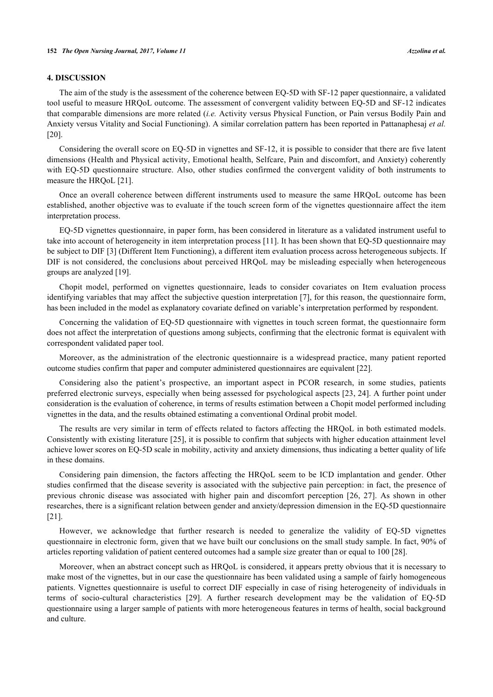## **4. DISCUSSION**

The aim of the study is the assessment of the coherence between EQ-5D with SF-12 paper questionnaire, a validated tool useful to measure HRQoL outcome. The assessment of convergent validity between EQ-5D and SF-12 indicates that comparable dimensions are more related (*i.e.* Activity versus Physical Function, or Pain versus Bodily Pain and Anxiety versus Vitality and Social Functioning). A similar correlation pattern has been reported in Pattanaphesaj *et al.* [\[20](#page-11-15)].

Considering the overall score on EQ-5D in vignettes and SF-12, it is possible to consider that there are five latent dimensions (Health and Physical activity, Emotional health, Selfcare, Pain and discomfort, and Anxiety) coherently with EQ-5D questionnaire structure. Also, other studies confirmed the convergent validity of both instruments to measure the HRQoL [\[21](#page-11-16)].

Once an overall coherence between different instruments used to measure the same HRQoL outcome has been established, another objective was to evaluate if the touch screen form of the vignettes questionnaire affect the item interpretation process.

EQ-5D vignettes questionnaire, in paper form, has been considered in literature as a validated instrument useful to take into account of heterogeneity in item interpretation process [[11](#page-11-7)]. It has been shown that EQ-5D questionnaire may be subject to DIF [\[3](#page-10-2)] (Different Item Functioning), a different item evaluation process across heterogeneous subjects. If DIF is not considered, the conclusions about perceived HRQoL may be misleading especially when heterogeneous groups are analyzed [\[19](#page-11-14)].

Chopit model, performed on vignettes questionnaire, leads to consider covariates on Item evaluation process identifying variables that may affect the subjective question interpretation [[7\]](#page-11-3), for this reason, the questionnaire form, has been included in the model as explanatory covariate defined on variable's interpretation performed by respondent.

Concerning the validation of EQ-5D questionnaire with vignettes in touch screen format, the questionnaire form does not affect the interpretation of questions among subjects, confirming that the electronic format is equivalent with correspondent validated paper tool.

Moreover, as the administration of the electronic questionnaire is a widespread practice, many patient reported outcome studies confirm that paper and computer administered questionnaires are equivalent [\[22](#page-11-17)].

Considering also the patient's prospective, an important aspect in PCOR research, in some studies, patients preferred electronic surveys, especially when being assessed for psychological aspects [[23,](#page-11-18) [24](#page-11-19)]. A further point under consideration is the evaluation of coherence, in terms of results estimation between a Chopit model performed including vignettes in the data, and the results obtained estimating a conventional Ordinal probit model.

The results are very similar in term of effects related to factors affecting the HRQoL in both estimated models. Consistently with existing literature [[25](#page-11-20)], it is possible to confirm that subjects with higher education attainment level achieve lower scores on EQ-5D scale in mobility, activity and anxiety dimensions, thus indicating a better quality of life in these domains.

Considering pain dimension, the factors affecting the HRQoL seem to be ICD implantation and gender. Other studies confirmed that the disease severity is associated with the subjective pain perception: in fact, the presence of previous chronic disease was associated with higher pain and discomfort perception [\[26,](#page-11-21) [27](#page-11-22)]. As shown in other researches, there is a significant relation between gender and anxiety/depression dimension in the EQ-5D questionnaire [\[21](#page-11-16)].

However, we acknowledge that further research is needed to generalize the validity of EQ-5D vignettes questionnaire in electronic form, given that we have built our conclusions on the small study sample. In fact, 90% of articles reporting validation of patient centered outcomes had a sample size greater than or equal to 100 [\[28](#page-12-0)].

Moreover, when an abstract concept such as HRQoL is considered, it appears pretty obvious that it is necessary to make most of the vignettes, but in our case the questionnaire has been validated using a sample of fairly homogeneous patients. Vignettes questionnaire is useful to correct DIF especially in case of rising heterogeneity of individuals in terms of socio-cultural characteristics[[29](#page-12-1)]. A further research development may be the validation of EQ-5D questionnaire using a larger sample of patients with more heterogeneous features in terms of health, social background and culture.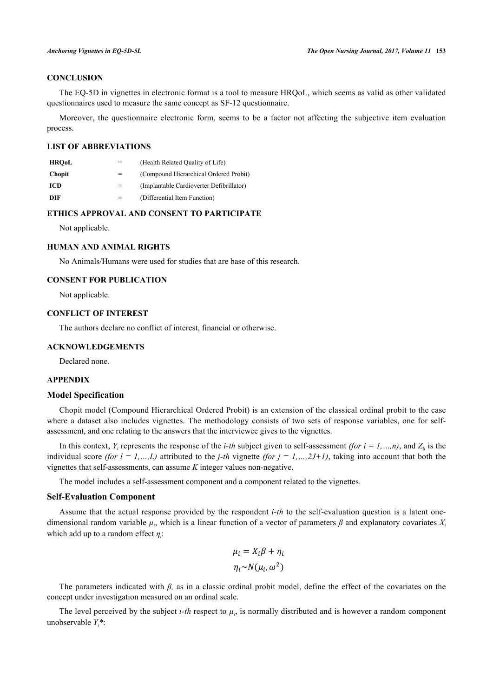## **CONCLUSION**

The EQ-5D in vignettes in electronic format is a tool to measure HRQoL, which seems as valid as other validated questionnaires used to measure the same concept as SF-12 questionnaire.

Moreover, the questionnaire electronic form, seems to be a factor not affecting the subjective item evaluation process.

## **LIST OF ABBREVIATIONS**

| <b>HROoL</b>  |     | (Health Related Quality of Life)         |
|---------------|-----|------------------------------------------|
| <b>Chopit</b> | $=$ | (Compound Hierarchical Ordered Probit)   |
| ICD.          |     | (Implantable Cardioverter Defibrillator) |
| DIF           | $=$ | (Differential Item Function)             |

## **ETHICS APPROVAL AND CONSENT TO PARTICIPATE**

Not applicable.

## **HUMAN AND ANIMAL RIGHTS**

No Animals/Humans were used for studies that are base of this research.

## **CONSENT FOR PUBLICATION**

Not applicable.

## **CONFLICT OF INTEREST**

The authors declare no conflict of interest, financial or otherwise.

#### **ACKNOWLEDGEMENTS**

Declared none.

## **APPENDIX**

## **Model Specification**

Chopit model (Compound Hierarchical Ordered Probit) is an extension of the classical ordinal probit to the case where a dataset also includes vignettes. The methodology consists of two sets of response variables, one for selfassessment, and one relating to the answers that the interviewee gives to the vignettes.

In this context,  $Y_i$  represents the response of the *i-th* subject given to self-assessment *(for i = 1, ...,n)*, and  $Z_i$  is the individual score *(for*  $l = 1, ..., L$ *)* attributed to the *j-th* vignette *(for j = 1, ..., 2J+1)*, taking into account that both the vignettes that self-assessments, can assume *K* integer values non-negative.

The model includes a self-assessment component and a component related to the vignettes.

#### **Self-Evaluation Component**

Assume that the actual response provided by the respondent *i-th* to the self-evaluation question is a latent onedimensional random variable *µ<sup>i</sup>* , which is a linear function of a vector of parameters *β* and explanatory covariates *X<sup>i</sup>* which add up to a random effect *η<sup>i</sup>* :

$$
\mu_i = X_i \beta + \eta_i
$$

$$
\eta_i \sim N(\mu_i, \omega^2)
$$

The parameters indicated with *β,* as in a classic ordinal probit model, define the effect of the covariates on the concept under investigation measured on an ordinal scale.

The level perceived by the subject *i-th* respect to  $\mu_i$ , is normally distributed and is however a random component unobservable *Yi\**: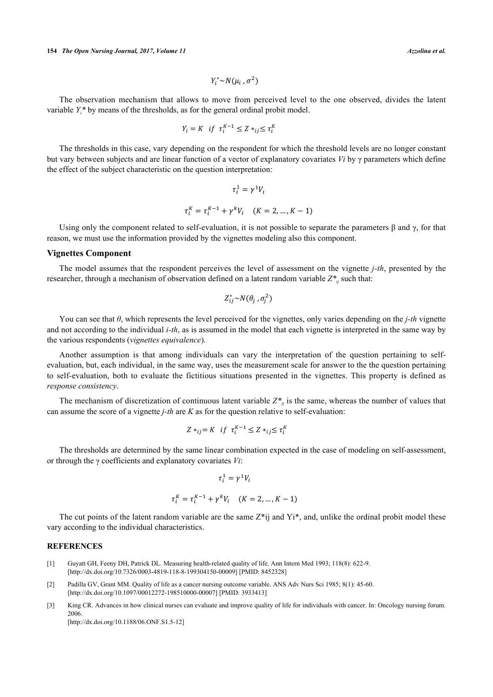$$
Y_i^*{\sim}N(\mu_i\,,\sigma^2)
$$

The observation mechanism that allows to move from perceived level to the one observed, divides the latent variable  $Y_i^*$  by means of the thresholds, as for the general ordinal probit model.

$$
Y_i = K \text{ if } \tau_i^{K-1} \le Z \ast_{ij} \le \tau_i^{K}
$$

The thresholds in this case, vary depending on the respondent for which the threshold levels are no longer constant but vary between subjects and are linear function of a vector of explanatory covariates *Vi* by γ parameters which define the effect of the subject characteristic on the question interpretation:

$$
\tau_i^1 = \gamma^1 V_i
$$
  

$$
\tau_i^K = \tau_i^{K-1} + \gamma^k V_i \quad (K = 2, \dots, K-1)
$$

Using only the component related to self-evaluation, it is not possible to separate the parameters  $\beta$  and  $\gamma$ , for that reason, we must use the information provided by the vignettes modeling also this component.

#### **Vignettes Component**

The model assumes that the respondent perceives the level of assessment on the vignette *j-th*, presented by the researcher, through a mechanism of observation defined on a latent random variable *Z\*ij* such that:

$$
Z_{ij}^*{\sim}N(\theta_j\,,\sigma_j^2)
$$

You can see that *θ*, which represents the level perceived for the vignettes, only varies depending on the *j-th* vignette and not according to the individual *i-th*, as is assumed in the model that each vignette is interpreted in the same way by the various respondents (*vignettes equivalence*).

Another assumption is that among individuals can vary the interpretation of the question pertaining to selfevaluation, but, each individual, in the same way, uses the measurement scale for answer to the the question pertaining to self-evaluation, both to evaluate the fictitious situations presented in the vignettes. This property is defined as *response consistency*.

The mechanism of discretization of continuous latent variable  $Z^*$  is the same, whereas the number of values that can assume the score of a vignette *j-th* are *K* as for the question relative to self-evaluation:

$$
Z \ast_{ij} = K \text{ if } \tau_i^{K-1} \le Z \ast_{ij} \le \tau_i^{K}
$$

The thresholds are determined by the same linear combination expected in the case of modeling on self-assessment, or through the γ coefficients and explanatory covariates *Vi*:

$$
\tau_i^1 = \gamma^1 V_i
$$
  

$$
\tau_i^K = \tau_i^{K-1} + \gamma^k V_i \quad (K = 2, \dots, K-1)
$$

The cut points of the latent random variable are the same  $Z^*$ ij and  $Y_i^*$ , and, unlike the ordinal probit model these vary according to the individual characteristics.

#### **REFERENCES**

- <span id="page-10-0"></span>[1] Guyatt GH, Feeny DH, Patrick DL. Measuring health-related quality of life. Ann Intern Med 1993; 118(8): 622-9. [\[http://dx.doi.org/10.7326/0003-4819-118-8-199304150-00009](http://dx.doi.org/10.7326/0003-4819-118-8-199304150-00009)] [PMID: [8452328\]](http://www.ncbi.nlm.nih.gov/pubmed/8452328)
- <span id="page-10-1"></span>[2] Padilla GV, Grant MM. Quality of life as a cancer nursing outcome variable. ANS Adv Nurs Sci 1985; 8(1): 45-60. [\[http://dx.doi.org/10.1097/00012272-198510000-00007](http://dx.doi.org/10.1097/00012272-198510000-00007)] [PMID: [3933413\]](http://www.ncbi.nlm.nih.gov/pubmed/3933413)
- <span id="page-10-2"></span>[3] King CR. Advances in how clinical nurses can evaluate and improve quality of life for individuals with cancer. In: Oncology nursing forum. 2006.

[\[http://dx.doi.org/10.1188/06.ONF.S1.5-12\]](http://dx.doi.org/10.1188/06.ONF.S1.5-12)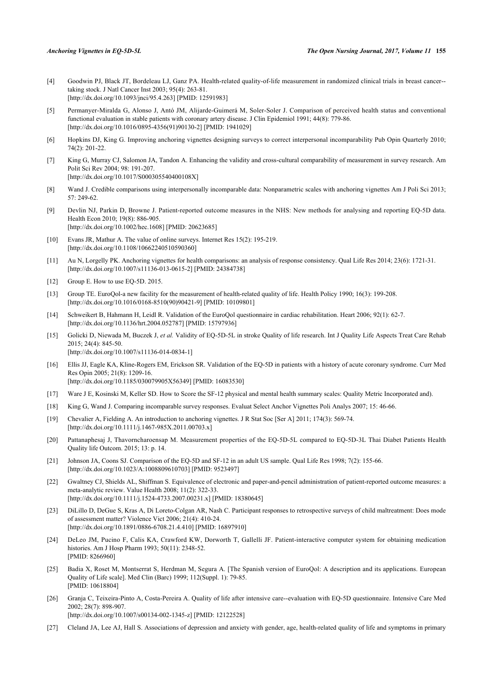- <span id="page-11-0"></span>[4] Goodwin PJ, Black JT, Bordeleau LJ, Ganz PA. Health-related quality-of-life measurement in randomized clinical trials in breast cancer- taking stock. J Natl Cancer Inst 2003; 95(4): 263-81. [\[http://dx.doi.org/10.1093/jnci/95.4.263](http://dx.doi.org/10.1093/jnci/95.4.263)] [PMID: [12591983\]](http://www.ncbi.nlm.nih.gov/pubmed/12591983)
- <span id="page-11-1"></span>[5] Permanyer-Miralda G, Alonso J, Antó JM, Alijarde-Guimerá M, Soler-Soler J. Comparison of perceived health status and conventional functional evaluation in stable patients with coronary artery disease. J Clin Epidemiol 1991; 44(8): 779-86. [\[http://dx.doi.org/10.1016/0895-4356\(91\)90130-2](http://dx.doi.org/10.1016/0895-4356(91)90130-2)] [PMID: [1941029](http://www.ncbi.nlm.nih.gov/pubmed/1941029)]
- <span id="page-11-2"></span>[6] Hopkins DJ, King G. Improving anchoring vignettes designing surveys to correct interpersonal incomparability Pub Opin Quarterly 2010; 74(2): 201-22.
- <span id="page-11-3"></span>[7] King G, Murray CJ, Salomon JA, Tandon A. Enhancing the validity and cross-cultural comparability of measurement in survey research. Am Polit Sci Rev 2004; 98: 191-207. [\[http://dx.doi.org/10.1017/S000305540400108X](http://dx.doi.org/10.1017/S000305540400108X)]
- 
- <span id="page-11-4"></span>[8] Wand J. Credible comparisons using interpersonally incomparable data: Nonparametric scales with anchoring vignettes Am J Poli Sci 2013; 57: 249-62.
- <span id="page-11-5"></span>[9] Devlin NJ, Parkin D, Browne J. Patient-reported outcome measures in the NHS: New methods for analysing and reporting EQ-5D data. Health Econ 2010; 19(8): 886-905. [\[http://dx.doi.org/10.1002/hec.1608\]](http://dx.doi.org/10.1002/hec.1608) [PMID: [20623685](http://www.ncbi.nlm.nih.gov/pubmed/20623685)]
- <span id="page-11-6"></span>[10] Evans JR, Mathur A. The value of online surveys. Internet Res 15(2): 195-219. [\[http://dx.doi.org/10.1108/10662240510590360\]](http://dx.doi.org/10.1108/10662240510590360)
- <span id="page-11-7"></span>[11] Au N, Lorgelly PK. Anchoring vignettes for health comparisons: an analysis of response consistency. Qual Life Res 2014; 23(6): 1721-31. [\[http://dx.doi.org/10.1007/s11136-013-0615-2\]](http://dx.doi.org/10.1007/s11136-013-0615-2) [PMID: [24384738](http://www.ncbi.nlm.nih.gov/pubmed/24384738)]
- <span id="page-11-8"></span>[12] Group E. How to use EQ-5D. 2015.
- <span id="page-11-9"></span>[13] Group TE. EuroQol-a new facility for the measurement of health-related quality of life. Health Policy 1990; 16(3): 199-208. [\[http://dx.doi.org/10.1016/0168-8510\(90\)90421-9](http://dx.doi.org/10.1016/0168-8510(90)90421-9)] [PMID: [10109801](http://www.ncbi.nlm.nih.gov/pubmed/10109801)]
- <span id="page-11-10"></span>[14] Schweikert B, Hahmann H, Leidl R. Validation of the EuroQol questionnaire in cardiac rehabilitation. Heart 2006; 92(1): 62-7. [\[http://dx.doi.org/10.1136/hrt.2004.052787\]](http://dx.doi.org/10.1136/hrt.2004.052787) [PMID: [15797936](http://www.ncbi.nlm.nih.gov/pubmed/15797936)]
- [15] Golicki D, Niewada M, Buczek J, *et al.* Validity of EQ-5D-5L in stroke Quality of life research. Int J Quality Life Aspects Treat Care Rehab 2015; 24(4): 845-50. [\[http://dx.doi.org/10.1007/s11136-014-0834-1\]](http://dx.doi.org/10.1007/s11136-014-0834-1)
- <span id="page-11-11"></span>[16] Ellis JJ, Eagle KA, Kline-Rogers EM, Erickson SR. Validation of the EQ-5D in patients with a history of acute coronary syndrome. Curr Med Res Opin 2005; 21(8): 1209-16. [\[http://dx.doi.org/10.1185/030079905X56349\]](http://dx.doi.org/10.1185/030079905X56349) [PMID: [16083530](http://www.ncbi.nlm.nih.gov/pubmed/16083530)]
- <span id="page-11-12"></span>[17] Ware J E, Kosinski M, Keller SD. How to Score the SF-12 physical and mental health summary scales: Quality Metric Incorporated and).
- <span id="page-11-13"></span>[18] King G, Wand J. Comparing incomparable survey responses. Evaluat Select Anchor Vignettes Poli Analys 2007; 15: 46-66.
- <span id="page-11-14"></span>[19] Chevalier A, Fielding A. An introduction to anchoring vignettes. J R Stat Soc [Ser A] 2011; 174(3): 569-74. [\[http://dx.doi.org/10.1111/j.1467-985X.2011.00703.x](http://dx.doi.org/10.1111/j.1467-985X.2011.00703.x)]
- <span id="page-11-15"></span>[20] Pattanaphesaj J, Thavorncharoensap M. Measurement properties of the EQ-5D-5L compared to EQ-5D-3L Thai Diabet Patients Health Quality life Outcom. 2015; 13: p. 14.
- <span id="page-11-16"></span>[21] Johnson JA, Coons SJ. Comparison of the EQ-5D and SF-12 in an adult US sample. Qual Life Res 1998; 7(2): 155-66. [\[http://dx.doi.org/10.1023/A:1008809610703\]](http://dx.doi.org/10.1023/A:1008809610703) [PMID: [9523497](http://www.ncbi.nlm.nih.gov/pubmed/9523497)]
- <span id="page-11-17"></span>[22] Gwaltney CJ, Shields AL, Shiffman S. Equivalence of electronic and paper-and-pencil administration of patient-reported outcome measures: a meta-analytic review. Value Health 2008; 11(2): 322-33. [\[http://dx.doi.org/10.1111/j.1524-4733.2007.00231.x\]](http://dx.doi.org/10.1111/j.1524-4733.2007.00231.x) [PMID: [18380645](http://www.ncbi.nlm.nih.gov/pubmed/18380645)]
- <span id="page-11-18"></span>[23] DiLillo D, DeGue S, Kras A, Di Loreto-Colgan AR, Nash C. Participant responses to retrospective surveys of child maltreatment: Does mode of assessment matter? Violence Vict 2006; 21(4): 410-24. [\[http://dx.doi.org/10.1891/0886-6708.21.4.410](http://dx.doi.org/10.1891/0886-6708.21.4.410)] [PMID: [16897910](http://www.ncbi.nlm.nih.gov/pubmed/16897910)]
- <span id="page-11-19"></span>[24] DeLeo JM, Pucino F, Calis KA, Crawford KW, Dorworth T, Gallelli JF. Patient-interactive computer system for obtaining medication histories. Am J Hosp Pharm 1993; 50(11): 2348-52. [PMID: [8266960\]](http://www.ncbi.nlm.nih.gov/pubmed/8266960)
- <span id="page-11-20"></span>[25] Badia X, Roset M, Montserrat S, Herdman M, Segura A. [The Spanish version of EuroQol: A description and its applications. European Quality of Life scale]. Med Clin (Barc) 1999; 112(Suppl. 1): 79-85. [PMID: [10618804\]](http://www.ncbi.nlm.nih.gov/pubmed/10618804)
- <span id="page-11-21"></span>[26] Granja C, Teixeira-Pinto A, Costa-Pereira A. Quality of life after intensive care--evaluation with EQ-5D questionnaire. Intensive Care Med 2002; 28(7): 898-907.
	- [\[http://dx.doi.org/10.1007/s00134-002-1345-z](http://dx.doi.org/10.1007/s00134-002-1345-z)] [PMID: [12122528](http://www.ncbi.nlm.nih.gov/pubmed/12122528)]
- <span id="page-11-22"></span>[27] Cleland JA, Lee AJ, Hall S. Associations of depression and anxiety with gender, age, health-related quality of life and symptoms in primary